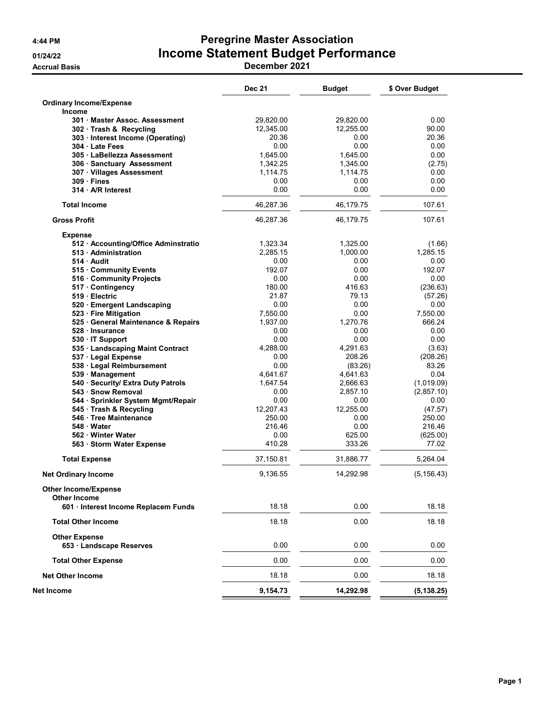# 4:44 PM Peregrine Master Association 01/24/22 **Income Statement Budget Performance**

Accrual Basis December 2021

|                                                  | <b>Dec 21</b> | <b>Budget</b> | \$ Over Budget |
|--------------------------------------------------|---------------|---------------|----------------|
| <b>Ordinary Income/Expense</b><br><b>Income</b>  |               |               |                |
| 301 Master Assoc. Assessment                     | 29,820.00     | 29,820.00     | 0.00           |
| 302 Trash & Recycling                            | 12,345.00     | 12,255.00     | 90.00          |
| 303 · Interest Income (Operating)                | 20.36         | 0.00          | 20.36          |
| 304 Late Fees                                    | 0.00          | 0.00          | 0.00           |
| 305 · LaBellezza Assessment                      | 1,645.00      | 1,645.00      | 0.00           |
| 306 Sanctuary Assessment                         | 1,342.25      | 1,345.00      | (2.75)         |
| 307 · Villages Assessment                        | 1,114.75      | 1,114.75      | 0.00           |
| $309 -$ Fines                                    | 0.00          | 0.00          | 0.00           |
| 314 · A/R Interest                               | 0.00          | 0.00          | 0.00           |
| <b>Total Income</b>                              | 46,287.36     | 46,179.75     | 107.61         |
| <b>Gross Profit</b>                              | 46,287.36     | 46,179.75     | 107.61         |
| <b>Expense</b>                                   |               |               |                |
| 512 · Accounting/Office Adminstratio             | 1,323.34      | 1,325.00      | (1.66)         |
| 513 Administration                               | 2,285.15      | 1,000.00      | 1,285.15       |
| 514 Audit                                        | 0.00          | 0.00          | 0.00           |
| 515 Community Events                             | 192.07        | 0.00          | 192.07         |
| 516 Community Projects                           | 0.00          | 0.00          | 0.00           |
| 517 · Contingency                                | 180.00        | 416.63        | (236.63)       |
| 519 Electric                                     | 21.87         | 79.13         | (57.26)        |
| 520 · Emergent Landscaping                       | 0.00          | 0.00          | 0.00           |
| 523 · Fire Mitigation                            | 7,550.00      | 0.00          | 7,550.00       |
| 525 · General Maintenance & Repairs              | 1,937.00      | 1,270.76      | 666.24         |
| 528 · Insurance                                  | 0.00          | 0.00          | 0.00           |
| 530 IT Support                                   | 0.00          | 0.00          | 0.00           |
|                                                  | 4,288.00      | 4,291.63      |                |
| 535 · Landscaping Maint Contract                 |               |               | (3.63)         |
| 537 · Legal Expense                              | 0.00          | 208.26        | (208.26)       |
| 538 · Legal Reimbursement                        | 0.00          | (83.26)       | 83.26          |
| 539 · Management                                 | 4,641.67      | 4,641.63      | 0.04           |
| 540 · Security/ Extra Duty Patrols               | 1,647.54      | 2,666.63      | (1,019.09)     |
| 543 · Snow Removal                               | 0.00          | 2,857.10      | (2,857.10)     |
| 544 · Sprinkler System Mgmt/Repair               | 0.00          | 0.00          | 0.00           |
| 545 · Trash & Recycling                          | 12,207.43     | 12,255.00     | (47.57)        |
| 546 · Tree Maintenance                           | 250.00        | 0.00          | 250.00         |
| 548 Water                                        | 216.46        | 0.00          | 216.46         |
| 562 · Winter Water                               | 0.00          | 625.00        | (625.00)       |
| 563 · Storm Water Expense                        | 410.28        | 333.26        | 77.02          |
| <b>Total Expense</b>                             | 37,150.81     | 31,886.77     | 5,264.04       |
| <b>Net Ordinary Income</b>                       | 9,136.55      | 14,292.98     | (5, 156.43)    |
| <b>Other Income/Expense</b>                      |               |               |                |
| <b>Other Income</b>                              |               |               |                |
| 601 · Interest Income Replacem Funds             | 18.18         | 0.00          | 18.18          |
| <b>Total Other Income</b>                        | 18.18         | 0.00          | 18.18          |
| <b>Other Expense</b><br>653 · Landscape Reserves | 0.00          | 0.00          | 0.00           |
| <b>Total Other Expense</b>                       | 0.00          | 0.00          | 0.00           |
| <b>Net Other Income</b>                          | 18.18         | 0.00          | 18.18          |
| Net Income                                       | 9,154.73      | 14,292.98     | (5, 138.25)    |
|                                                  |               |               |                |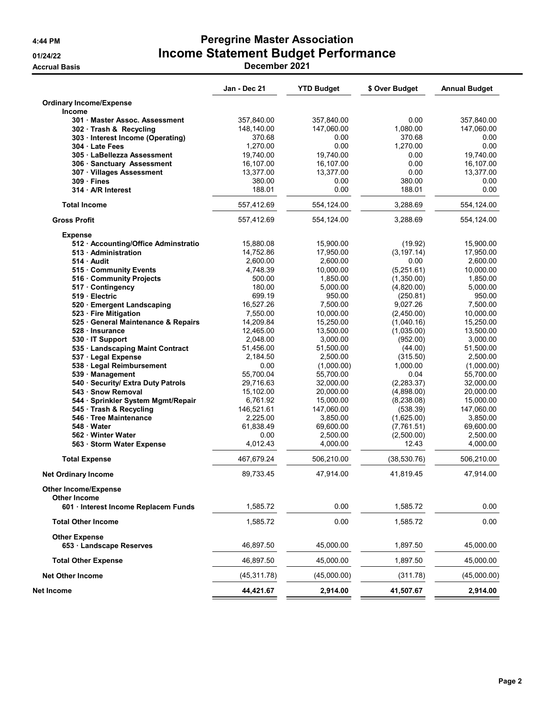# 4:44 PM Peregrine Master Association 01/24/22 **Income Statement Budget Performance**

Accrual Basis December 2021

|                                      | Jan - Dec 21 | <b>YTD Budget</b> | \$ Over Budget | <b>Annual Budget</b> |
|--------------------------------------|--------------|-------------------|----------------|----------------------|
| <b>Ordinary Income/Expense</b>       |              |                   |                |                      |
| Income                               |              |                   |                |                      |
| 301 Master Assoc. Assessment         | 357,840.00   | 357,840.00        | 0.00           | 357,840.00           |
| 302 Trash & Recycling                | 148,140.00   | 147,060.00        | 1,080.00       | 147,060.00           |
| 303 · Interest Income (Operating)    | 370.68       | 0.00              | 370.68         | 0.00                 |
| 304 Late Fees                        | 1,270.00     | 0.00              | 1,270.00       | 0.00                 |
| 305 · LaBellezza Assessment          | 19,740.00    | 19,740.00         | 0.00           | 19,740.00            |
| 306 Sanctuary Assessment             | 16,107.00    | 16,107.00         | 0.00           | 16,107.00            |
| 307 · Villages Assessment            | 13,377.00    | 13,377.00         | 0.00           | 13,377.00            |
| 309 · Fines                          | 380.00       | 0.00              | 380.00         | 0.00                 |
| 314 · A/R Interest                   | 188.01       | 0.00              | 188.01         | 0.00                 |
| <b>Total Income</b>                  | 557,412.69   | 554,124.00        | 3,288.69       | 554,124.00           |
| <b>Gross Profit</b>                  | 557,412.69   | 554,124.00        | 3,288.69       | 554,124.00           |
| <b>Expense</b>                       |              |                   |                |                      |
| 512 · Accounting/Office Adminstratio | 15,880.08    | 15,900.00         | (19.92)        | 15,900.00            |
| 513 · Administration                 | 14,752.86    | 17,950.00         | (3, 197.14)    | 17,950.00            |
| 514 Audit                            | 2,600.00     | 2,600.00          | 0.00           | 2,600.00             |
| 515 Community Events                 | 4,748.39     | 10,000.00         | (5,251.61)     | 10,000.00            |
| 516 Community Projects               | 500.00       | 1,850.00          | (1,350.00)     | 1,850.00             |
| 517 Contingency                      | 180.00       | 5,000.00          | (4,820.00)     | 5,000.00             |
| 519 Electric                         | 699.19       | 950.00            | (250.81)       | 950.00               |
| 520 · Emergent Landscaping           | 16,527.26    | 7,500.00          | 9,027.26       | 7,500.00             |
| 523 · Fire Mitigation                | 7,550.00     | 10,000.00         | (2,450.00)     | 10,000.00            |
| 525 · General Maintenance & Repairs  | 14,209.84    | 15,250.00         | (1,040.16)     | 15,250.00            |
| 528 · Insurance                      | 12,465.00    | 13,500.00         | (1,035.00)     | 13,500.00            |
| 530 · IT Support                     | 2.048.00     | 3,000.00          | (952.00)       | 3,000.00             |
| 535 · Landscaping Maint Contract     | 51,456.00    | 51,500.00         | (44.00)        | 51,500.00            |
| 537 · Legal Expense                  | 2,184.50     | 2,500.00          | (315.50)       | 2,500.00             |
| 538 · Legal Reimbursement            | 0.00         | (1,000.00)        | 1,000.00       | (1,000.00)           |
| 539 Management                       | 55,700.04    | 55,700.00         | 0.04           | 55,700.00            |
| 540 · Security/ Extra Duty Patrols   | 29,716.63    | 32,000.00         | (2, 283.37)    | 32,000.00            |
| 543 · Snow Removal                   | 15,102.00    | 20,000.00         | (4,898.00)     | 20,000.00            |
| 544 · Sprinkler System Mgmt/Repair   | 6,761.92     | 15,000.00         | (8, 238.08)    | 15,000.00            |
| 545 · Trash & Recycling              | 146,521.61   | 147,060.00        | (538.39)       | 147,060.00           |
| 546 · Tree Maintenance               | 2,225.00     | 3,850.00          | (1,625.00)     | 3,850.00             |
| 548 · Water                          | 61,838.49    | 69,600.00         | (7,761.51)     | 69,600.00            |
|                                      |              |                   |                |                      |
| 562 · Winter Water                   | 0.00         | 2,500.00          | (2,500.00)     | 2,500.00             |
| 563 · Storm Water Expense            | 4,012.43     | 4,000.00          | 12.43          | 4,000.00             |
| <b>Total Expense</b>                 | 467,679.24   | 506,210.00        | (38, 530.76)   | 506,210.00           |
| <b>Net Ordinary Income</b>           | 89,733.45    | 47,914.00         | 41,819.45      | 47,914.00            |
| <b>Other Income/Expense</b>          |              |                   |                |                      |
| <b>Other Income</b>                  |              |                   |                |                      |
| 601 · Interest Income Replacem Funds | 1,585.72     | 0.00              | 1,585.72       | 0.00                 |
| <b>Total Other Income</b>            | 1,585.72     | 0.00              | 1,585.72       | 0.00                 |
| <b>Other Expense</b>                 |              |                   |                |                      |
| 653 · Landscape Reserves             | 46,897.50    | 45,000.00         | 1,897.50       | 45,000.00            |
| <b>Total Other Expense</b>           | 46,897.50    | 45,000.00         | 1,897.50       | 45,000.00            |
| <b>Net Other Income</b>              | (45, 311.78) | (45,000.00)       | (311.78)       | (45,000.00)          |
| Net Income                           | 44,421.67    | 2,914.00          | 41,507.67      | 2,914.00             |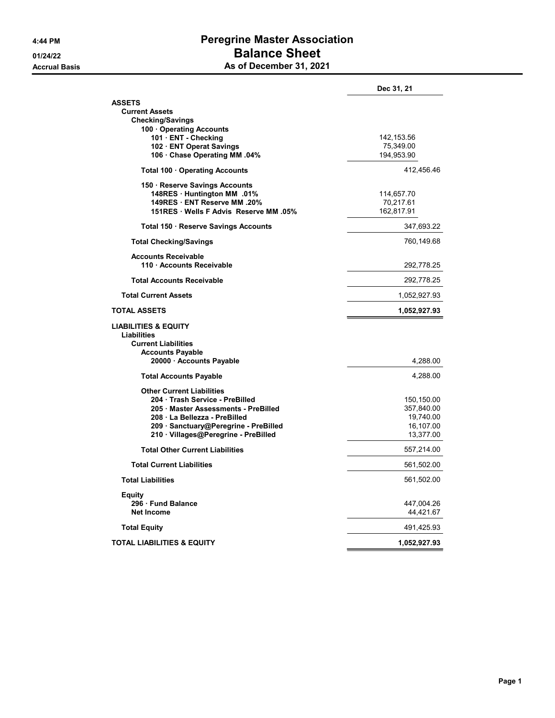### 4:44 PM Peregrine Master Association 01/24/22 **Balance Sheet** As of December 31, 2021

|                                                         | Dec 31, 21              |
|---------------------------------------------------------|-------------------------|
| <b>ASSETS</b>                                           |                         |
| <b>Current Assets</b>                                   |                         |
| <b>Checking/Savings</b>                                 |                         |
| 100 Operating Accounts                                  |                         |
| 101 · ENT - Checking                                    | 142,153.56              |
| 102 · ENT Operat Savings<br>106 Chase Operating MM .04% | 75,349.00<br>194,953.90 |
|                                                         |                         |
| Total 100 · Operating Accounts                          | 412,456.46              |
| 150 Reserve Savings Accounts                            |                         |
| 148RES Huntington MM .01%                               | 114,657.70              |
| 149RES ENT Reserve MM .20%                              | 70,217.61               |
| 151RES · Wells F Advis Reserve MM .05%                  | 162,817.91              |
| Total 150 · Reserve Savings Accounts                    | 347,693.22              |
| <b>Total Checking/Savings</b>                           | 760,149.68              |
| <b>Accounts Receivable</b>                              |                         |
| 110 · Accounts Receivable                               | 292,778.25              |
| <b>Total Accounts Receivable</b>                        | 292,778.25              |
| <b>Total Current Assets</b>                             | 1,052,927.93            |
| <b>TOTAL ASSETS</b>                                     | 1,052,927.93            |
| <b>LIABILITIES &amp; EQUITY</b><br>Liabilities          |                         |
| <b>Current Liabilities</b>                              |                         |
| <b>Accounts Payable</b>                                 |                         |
| 20000 · Accounts Payable                                | 4,288.00                |
| <b>Total Accounts Payable</b>                           | 4,288.00                |
| <b>Other Current Liabilities</b>                        |                         |
| 204 · Trash Service - PreBilled                         | 150,150.00              |
| 205 · Master Assessments - PreBilled                    | 357,840.00              |
| 208 La Bellezza - PreBilled                             | 19,740.00               |
| 209 · Sanctuary@Peregrine - PreBilled                   | 16,107.00               |
| 210 · Villages@Peregrine - PreBilled                    | 13,377.00               |
| <b>Total Other Current Liabilities</b>                  | 557,214.00              |
| <b>Total Current Liabilities</b>                        | 561,502.00              |
| <b>Total Liabilities</b>                                | 561,502.00              |
| Equity                                                  |                         |
| 296 Fund Balance                                        | 447,004.26              |
| <b>Net Income</b>                                       | 44,421.67               |
| <b>Total Equity</b>                                     | 491,425.93              |
|                                                         |                         |
| <b>TOTAL LIABILITIES &amp; EQUITY</b>                   | 1,052,927.93            |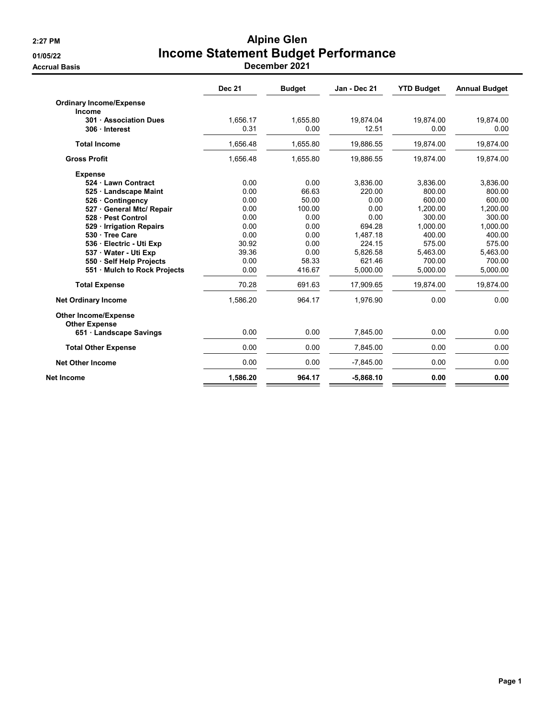# 2:27 PM Alpine Glen 01/05/22 **Income Statement Budget Performance**

Accrual Basis December 2021

|                                                     | <b>Dec 21</b> | <b>Budget</b> | Jan - Dec 21 | <b>YTD Budget</b> | <b>Annual Budget</b> |
|-----------------------------------------------------|---------------|---------------|--------------|-------------------|----------------------|
| <b>Ordinary Income/Expense</b>                      |               |               |              |                   |                      |
| Income                                              |               |               |              |                   |                      |
| 301 · Association Dues                              | 1,656.17      | 1,655.80      | 19,874.04    | 19,874.00         | 19,874.00            |
| 306 Interest                                        | 0.31          | 0.00          | 12.51        | 0.00              | 0.00                 |
| <b>Total Income</b>                                 | 1,656.48      | 1,655.80      | 19,886.55    | 19,874.00         | 19,874.00            |
| <b>Gross Profit</b>                                 | 1,656.48      | 1,655.80      | 19,886.55    | 19,874.00         | 19,874.00            |
| <b>Expense</b>                                      |               |               |              |                   |                      |
| 524 Lawn Contract                                   | 0.00          | 0.00          | 3,836.00     | 3,836.00          | 3,836.00             |
| 525 Landscape Maint                                 | 0.00          | 66.63         | 220.00       | 800.00            | 800.00               |
| 526 Contingency                                     | 0.00          | 50.00         | 0.00         | 600.00            | 600.00               |
| 527 General Mtc/ Repair                             | 0.00          | 100.00        | 0.00         | 1,200.00          | 1,200.00             |
| 528 · Pest Control                                  | 0.00          | 0.00          | 0.00         | 300.00            | 300.00               |
| 529 Irrigation Repairs                              | 0.00          | 0.00          | 694.28       | 1.000.00          | 1,000.00             |
| 530 · Tree Care                                     | 0.00          | 0.00          | 1,487.18     | 400.00            | 400.00               |
| 536 Electric - Uti Exp                              | 30.92         | 0.00          | 224.15       | 575.00            | 575.00               |
| 537 Water - Uti Exp                                 | 39.36         | 0.00          | 5.826.58     | 5,463.00          | 5,463.00             |
| 550 · Self Help Projects                            | 0.00          | 58.33         | 621.46       | 700.00            | 700.00               |
| 551 Mulch to Rock Projects                          | 0.00          | 416.67        | 5,000.00     | 5,000.00          | 5,000.00             |
| <b>Total Expense</b>                                | 70.28         | 691.63        | 17.909.65    | 19.874.00         | 19,874.00            |
| <b>Net Ordinary Income</b>                          | 1.586.20      | 964.17        | 1.976.90     | 0.00              | 0.00                 |
| <b>Other Income/Expense</b><br><b>Other Expense</b> |               |               |              |                   |                      |
| 651 Landscape Savings                               | 0.00          | 0.00          | 7,845.00     | 0.00              | 0.00                 |
| <b>Total Other Expense</b>                          | 0.00          | 0.00          | 7,845.00     | 0.00              | 0.00                 |
| <b>Net Other Income</b>                             | 0.00          | 0.00          | $-7,845.00$  | 0.00              | 0.00                 |
| Net Income                                          | 1,586.20      | 964.17        | $-5,868.10$  | 0.00              | 0.00                 |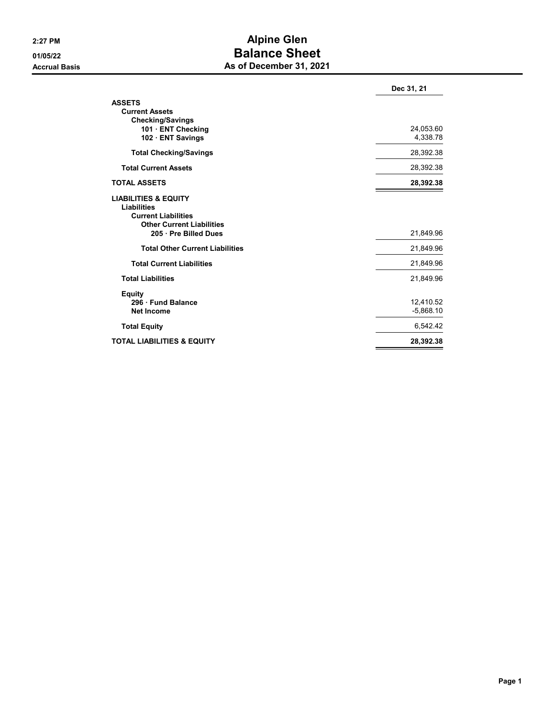### 2:27 PM Alpine Glen 01/05/22 Balance Sheet As of December 31, 2021

|                                                                                                                                                  | Dec 31, 21               |
|--------------------------------------------------------------------------------------------------------------------------------------------------|--------------------------|
| <b>ASSETS</b><br><b>Current Assets</b><br><b>Checking/Savings</b><br>101 ENT Checking<br>102 ENT Savings                                         | 24,053.60<br>4,338.78    |
| <b>Total Checking/Savings</b>                                                                                                                    | 28,392.38                |
| <b>Total Current Assets</b>                                                                                                                      | 28,392.38                |
| <b>TOTAL ASSETS</b>                                                                                                                              | 28,392.38                |
| <b>LIABILITIES &amp; EQUITY</b><br><b>Liabilities</b><br><b>Current Liabilities</b><br><b>Other Current Liabilities</b><br>205 · Pre Billed Dues | 21,849.96                |
| <b>Total Other Current Liabilities</b>                                                                                                           | 21,849.96                |
| <b>Total Current Liabilities</b>                                                                                                                 | 21,849.96                |
| <b>Total Liabilities</b>                                                                                                                         | 21,849.96                |
| <b>Equity</b><br>296 Fund Balance<br><b>Net Income</b>                                                                                           | 12,410.52<br>$-5,868.10$ |
| <b>Total Equity</b>                                                                                                                              | 6,542.42                 |
| <b>TOTAL LIABILITIES &amp; EQUITY</b>                                                                                                            | 28,392.38                |
|                                                                                                                                                  |                          |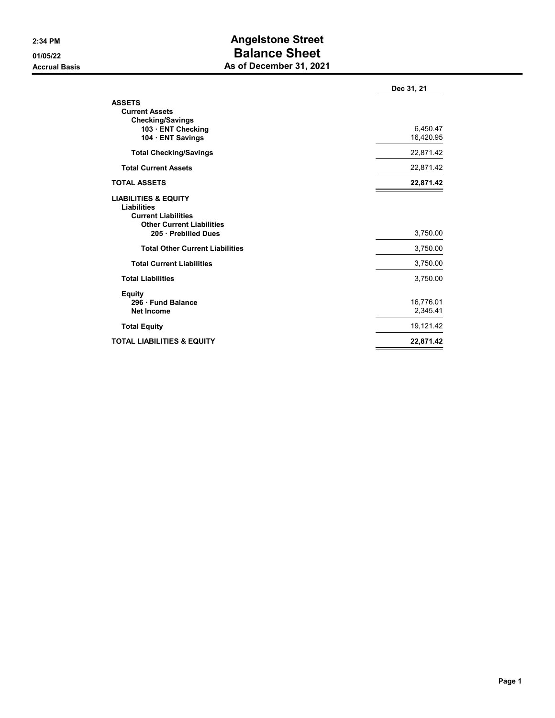## 2:34 PM **Angelstone Street** 01/05/22 Balance Sheet As of December 31, 2021

|                                                                                                                                          | Dec 31, 21            |
|------------------------------------------------------------------------------------------------------------------------------------------|-----------------------|
| <b>ASSETS</b><br><b>Current Assets</b><br><b>Checking/Savings</b><br>103 · ENT Checking<br>104 ENT Savings                               | 6,450.47<br>16,420.95 |
| <b>Total Checking/Savings</b>                                                                                                            | 22,871.42             |
| <b>Total Current Assets</b>                                                                                                              | 22,871.42             |
| <b>TOTAL ASSETS</b>                                                                                                                      | 22,871.42             |
| <b>LIABILITIES &amp; EQUITY</b><br>Liabilities<br><b>Current Liabilities</b><br><b>Other Current Liabilities</b><br>205 · Prebilled Dues | 3,750.00              |
| <b>Total Other Current Liabilities</b>                                                                                                   | 3,750.00              |
| <b>Total Current Liabilities</b>                                                                                                         | 3,750.00              |
| <b>Total Liabilities</b>                                                                                                                 | 3,750.00              |
| <b>Equity</b><br>296 · Fund Balance<br><b>Net Income</b>                                                                                 | 16,776.01<br>2,345.41 |
| <b>Total Equity</b>                                                                                                                      | 19,121.42             |
| <b>TOTAL LIABILITIES &amp; EQUITY</b>                                                                                                    | 22,871.42             |
|                                                                                                                                          |                       |